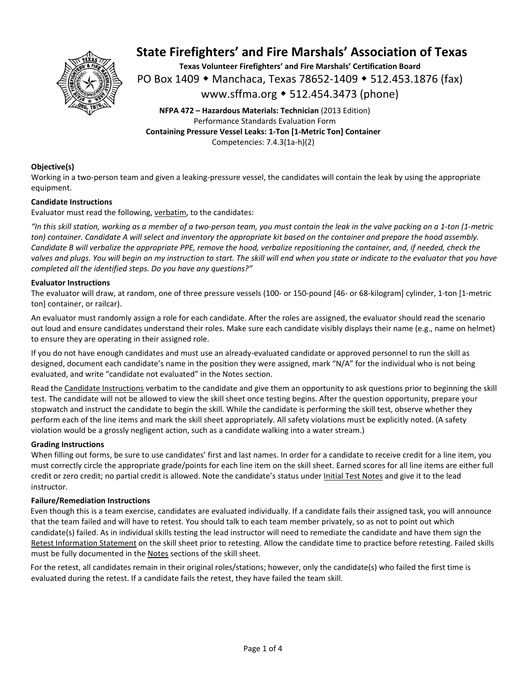

**Texas Volunteer Firefighters' and Fire Marshals' Certification Board**  PO Box 1409 ◆ Manchaca, Texas 78652-1409 ◆ 512.453.1876 (fax) www.sffma.org 512.454.3473 (phone)

**NFPA 472 – Hazardous Materials: Technician** (2013 Edition) Performance Standards Evaluation Form **Containing Pressure Vessel Leaks: 1‐Ton [1‐Metric Ton] Container**  Competencies: 7.4.3(1a‐h)(2)

#### **Objective(s)**

Working in a two-person team and given a leaking-pressure vessel, the candidates will contain the leak by using the appropriate equipment.

#### **Candidate Instructions**

Evaluator must read the following, verbatim, to the candidates:

*"In this skill station, working as a member of a two‐person team, you must contain the leak in the valve packing on a 1‐ton (1‐metric ton) container. Candidate A will select and inventory the appropriate kit based on the container and prepare the hood assembly. Candidate B will verbalize the appropriate PPE, remove the hood, verbalize repositioning the container, and, if needed, check the valves and plugs. You will begin on my instruction to start. The skill will end when you state or indicate to the evaluator that you have completed all the identified steps. Do you have any questions?"*

#### **Evaluator Instructions**

The evaluator will draw, at random, one of three pressure vessels (100‐ or 150‐pound [46‐ or 68‐kilogram] cylinder, 1‐ton [1‐metric ton] container, or railcar).

An evaluator must randomly assign a role for each candidate. After the roles are assigned, the evaluator should read the scenario out loud and ensure candidates understand their roles. Make sure each candidate visibly displays their name (e.g., name on helmet) to ensure they are operating in their assigned role.

If you do not have enough candidates and must use an already‐evaluated candidate or approved personnel to run the skill as designed, document each candidate's name in the position they were assigned, mark "N/A" for the individual who is not being evaluated, and write "candidate not evaluated" in the Notes section.

Read the Candidate Instructions verbatim to the candidate and give them an opportunity to ask questions prior to beginning the skill test. The candidate will not be allowed to view the skill sheet once testing begins. After the question opportunity, prepare your stopwatch and instruct the candidate to begin the skill. While the candidate is performing the skill test, observe whether they perform each of the line items and mark the skill sheet appropriately. All safety violations must be explicitly noted. (A safety violation would be a grossly negligent action, such as a candidate walking into a water stream.)

#### **Grading Instructions**

When filling out forms, be sure to use candidates' first and last names. In order for a candidate to receive credit for a line item, you must correctly circle the appropriate grade/points for each line item on the skill sheet. Earned scores for all line items are either full credit or zero credit; no partial credit is allowed. Note the candidate's status under Initial Test Notes and give it to the lead instructor.

#### **Failure/Remediation Instructions**

Even though this is a team exercise, candidates are evaluated individually. If a candidate fails their assigned task, you will announce that the team failed and will have to retest. You should talk to each team member privately, so as not to point out which candidate(s) failed. As in individual skills testing the lead instructor will need to remediate the candidate and have them sign the Retest Information Statement on the skill sheet prior to retesting. Allow the candidate time to practice before retesting. Failed skills must be fully documented in the Notes sections of the skill sheet.

For the retest, all candidates remain in their original roles/stations; however, only the candidate(s) who failed the first time is evaluated during the retest. If a candidate fails the retest, they have failed the team skill.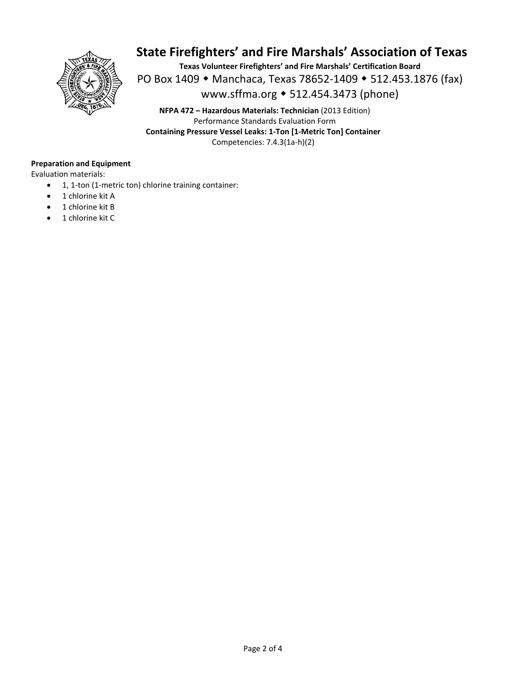

**Texas Volunteer Firefighters' and Fire Marshals' Certification Board**  PO Box 1409 • Manchaca, Texas 78652-1409 • 512.453.1876 (fax) www.sffma.org 512.454.3473 (phone)

**NFPA 472 – Hazardous Materials: Technician** (2013 Edition) Performance Standards Evaluation Form **Containing Pressure Vessel Leaks: 1‐Ton [1‐Metric Ton] Container**  Competencies: 7.4.3(1a‐h)(2)

#### **Preparation and Equipment**

Evaluation materials:

- 1, 1-ton (1-metric ton) chlorine training container:
- 1 chlorine kit A
- 1 chlorine kit B
- 1 chlorine kit C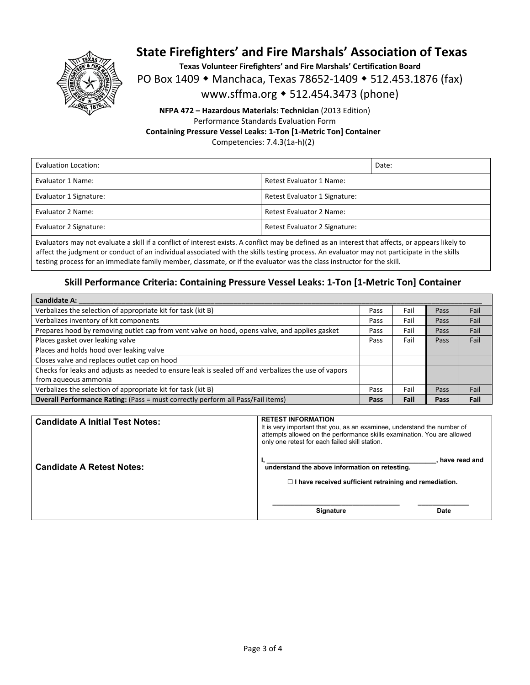

**Texas Volunteer Firefighters' and Fire Marshals' Certification Board** 

PO Box 1409 • Manchaca, Texas 78652-1409 • 512.453.1876 (fax)

www.sffma.org 512.454.3473 (phone)

### **NFPA 472 – Hazardous Materials: Technician** (2013 Edition) Performance Standards Evaluation Form **Containing Pressure Vessel Leaks: 1‐Ton [1‐Metric Ton] Container**

Competencies: 7.4.3(1a‐h)(2)

| Evaluation Location:   |                               | Date: |
|------------------------|-------------------------------|-------|
| Evaluator 1 Name:      | Retest Evaluator 1 Name:      |       |
| Evaluator 1 Signature: | Retest Evaluator 1 Signature: |       |
| Evaluator 2 Name:      | Retest Evaluator 2 Name:      |       |
| Evaluator 2 Signature: | Retest Evaluator 2 Signature: |       |

Evaluators may not evaluate a skill if a conflict of interest exists. A conflict may be defined as an interest that affects, or appears likely to affect the judgment or conduct of an individual associated with the skills testing process. An evaluator may not participate in the skills testing process for an immediate family member, classmate, or if the evaluator was the class instructor for the skill.

### **Skill Performance Criteria: Containing Pressure Vessel Leaks: 1‐Ton [1‐Metric Ton] Container**

| <b>Candidate A:</b>                                                                                  |      |      |      |      |
|------------------------------------------------------------------------------------------------------|------|------|------|------|
| Verbalizes the selection of appropriate kit for task (kit B)                                         |      | Fail | Pass | Fail |
| Verbalizes inventory of kit components                                                               | Pass | Fail | Pass | Fail |
| Prepares hood by removing outlet cap from vent valve on hood, opens valve, and applies gasket        | Pass | Fail | Pass | Fail |
| Places gasket over leaking valve                                                                     | Pass | Fail | Pass | Fail |
| Places and holds hood over leaking valve                                                             |      |      |      |      |
| Closes valve and replaces outlet cap on hood                                                         |      |      |      |      |
| Checks for leaks and adjusts as needed to ensure leak is sealed off and verbalizes the use of vapors |      |      |      |      |
| from aqueous ammonia                                                                                 |      |      |      |      |
| Verbalizes the selection of appropriate kit for task (kit B)                                         | Pass | Fail | Pass | Fail |
| <b>Overall Performance Rating:</b> (Pass = must correctly perform all Pass/Fail items)               |      | Fail | Pass | Fail |

| <b>Candidate A Initial Test Notes:</b> | <b>RETEST INFORMATION</b><br>It is very important that you, as an examinee, understand the number of<br>attempts allowed on the performance skills examination. You are allowed<br>only one retest for each failed skill station. |
|----------------------------------------|-----------------------------------------------------------------------------------------------------------------------------------------------------------------------------------------------------------------------------------|
| <b>Candidate A Retest Notes:</b>       | have read and<br>understand the above information on retesting.<br>$\Box$ I have received sufficient retraining and remediation.                                                                                                  |
|                                        | <b>Signature</b><br><b>Date</b>                                                                                                                                                                                                   |